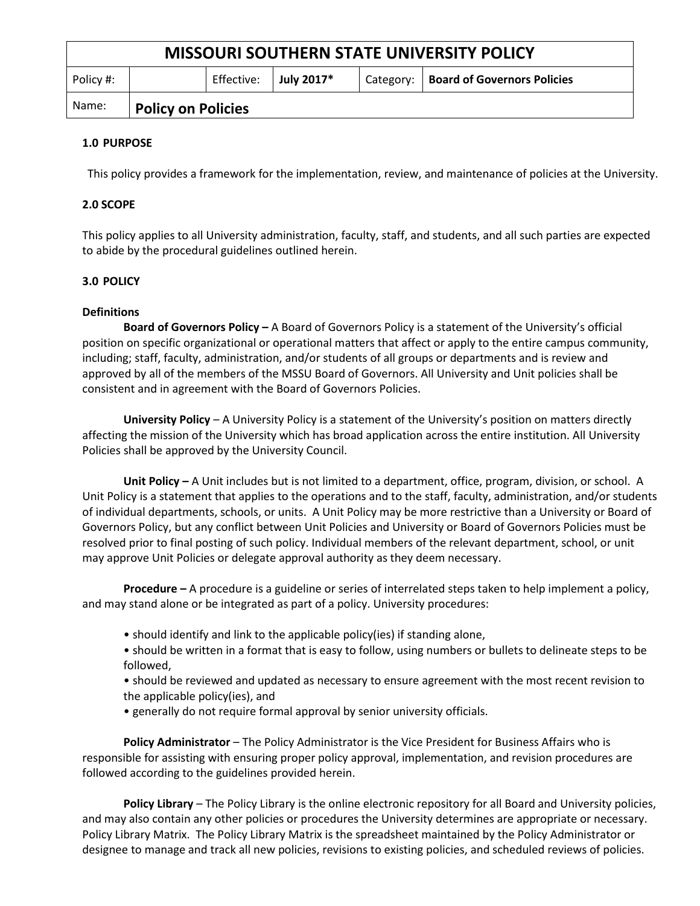| <b>MISSOURI SOUTHERN STATE UNIVERSITY POLICY</b> |                           |            |            |  |                                         |
|--------------------------------------------------|---------------------------|------------|------------|--|-----------------------------------------|
| Policy #:                                        |                           | Effective: | July 2017* |  | Category:   Board of Governors Policies |
| Name:                                            | <b>Policy on Policies</b> |            |            |  |                                         |

## **1.0 PURPOSE**

This policy provides a framework for the implementation, review, and maintenance of policies at the University.

### **2.0 SCOPE**

This policy applies to all University administration, faculty, staff, and students, and all such parties are expected to abide by the procedural guidelines outlined herein.

## **3.0 POLICY**

### **Definitions**

**Board of Governors Policy –** A Board of Governors Policy is a statement of the University's official position on specific organizational or operational matters that affect or apply to the entire campus community, including; staff, faculty, administration, and/or students of all groups or departments and is review and approved by all of the members of the MSSU Board of Governors. All University and Unit policies shall be consistent and in agreement with the Board of Governors Policies.

**University Policy** – A University Policy is a statement of the University's position on matters directly affecting the mission of the University which has broad application across the entire institution. All University Policies shall be approved by the University Council.

**Unit Policy –** A Unit includes but is not limited to a department, office, program, division, or school. A Unit Policy is a statement that applies to the operations and to the staff, faculty, administration, and/or students of individual departments, schools, or units. A Unit Policy may be more restrictive than a University or Board of Governors Policy, but any conflict between Unit Policies and University or Board of Governors Policies must be resolved prior to final posting of such policy. Individual members of the relevant department, school, or unit may approve Unit Policies or delegate approval authority as they deem necessary.

**Procedure –** A procedure is a guideline or series of interrelated steps taken to help implement a policy, and may stand alone or be integrated as part of a policy. University procedures:

- should identify and link to the applicable policy(ies) if standing alone,
- should be written in a format that is easy to follow, using numbers or bullets to delineate steps to be followed,
- should be reviewed and updated as necessary to ensure agreement with the most recent revision to the applicable policy(ies), and
- generally do not require formal approval by senior university officials.

**Policy Administrator** – The Policy Administrator is the Vice President for Business Affairs who is responsible for assisting with ensuring proper policy approval, implementation, and revision procedures are followed according to the guidelines provided herein.

**Policy Library** – The Policy Library is the online electronic repository for all Board and University policies, and may also contain any other policies or procedures the University determines are appropriate or necessary. Policy Library Matrix. The Policy Library Matrix is the spreadsheet maintained by the Policy Administrator or designee to manage and track all new policies, revisions to existing policies, and scheduled reviews of policies.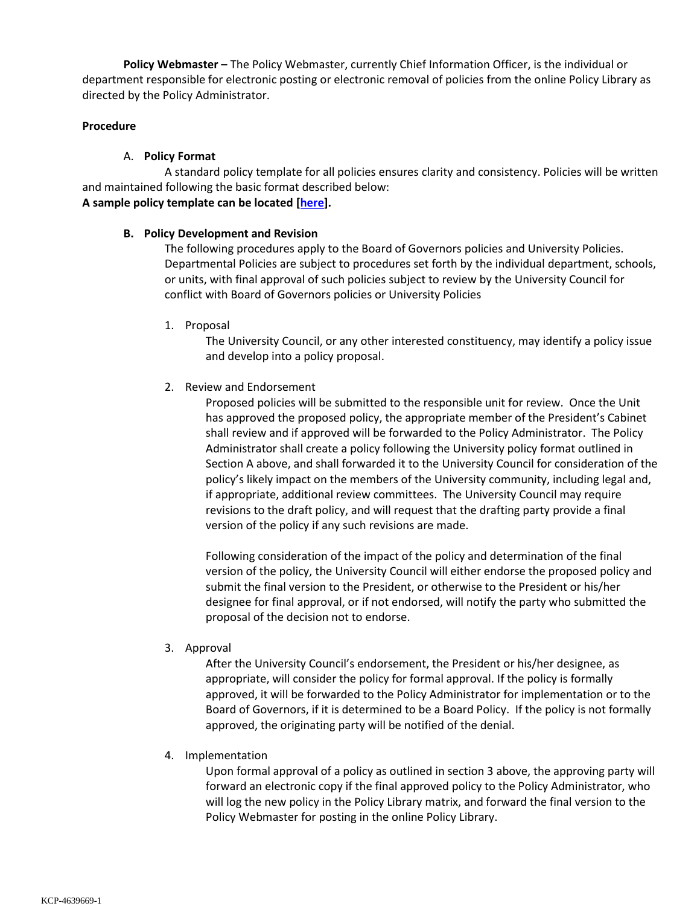**Policy Webmaster –** The Policy Webmaster, currently Chief Information Officer, is the individual or department responsible for electronic posting or electronic removal of policies from the online Policy Library as directed by the Policy Administrator.

# **Procedure**

# A. **Policy Format**

A standard policy template for all policies ensures clarity and consistency. Policies will be written and maintained following the basic format described below: **A sample policy template can be located [\[here\]](http://policy.mssu.edu/PolicyTemplate.docx).**

# **B. Policy Development and Revision**

The following procedures apply to the Board of Governors policies and University Policies. Departmental Policies are subject to procedures set forth by the individual department, schools, or units, with final approval of such policies subject to review by the University Council for conflict with Board of Governors policies or University Policies

1. Proposal

The University Council, or any other interested constituency, may identify a policy issue and develop into a policy proposal.

2. Review and Endorsement

Proposed policies will be submitted to the responsible unit for review. Once the Unit has approved the proposed policy, the appropriate member of the President's Cabinet shall review and if approved will be forwarded to the Policy Administrator. The Policy Administrator shall create a policy following the University policy format outlined in Section A above, and shall forwarded it to the University Council for consideration of the policy's likely impact on the members of the University community, including legal and, if appropriate, additional review committees. The University Council may require revisions to the draft policy, and will request that the drafting party provide a final version of the policy if any such revisions are made.

Following consideration of the impact of the policy and determination of the final version of the policy, the University Council will either endorse the proposed policy and submit the final version to the President, or otherwise to the President or his/her designee for final approval, or if not endorsed, will notify the party who submitted the proposal of the decision not to endorse.

3. Approval

After the University Council's endorsement, the President or his/her designee, as appropriate, will consider the policy for formal approval. If the policy is formally approved, it will be forwarded to the Policy Administrator for implementation or to the Board of Governors, if it is determined to be a Board Policy. If the policy is not formally approved, the originating party will be notified of the denial.

4. Implementation

Upon formal approval of a policy as outlined in section 3 above, the approving party will forward an electronic copy if the final approved policy to the Policy Administrator, who will log the new policy in the Policy Library matrix, and forward the final version to the Policy Webmaster for posting in the online Policy Library.